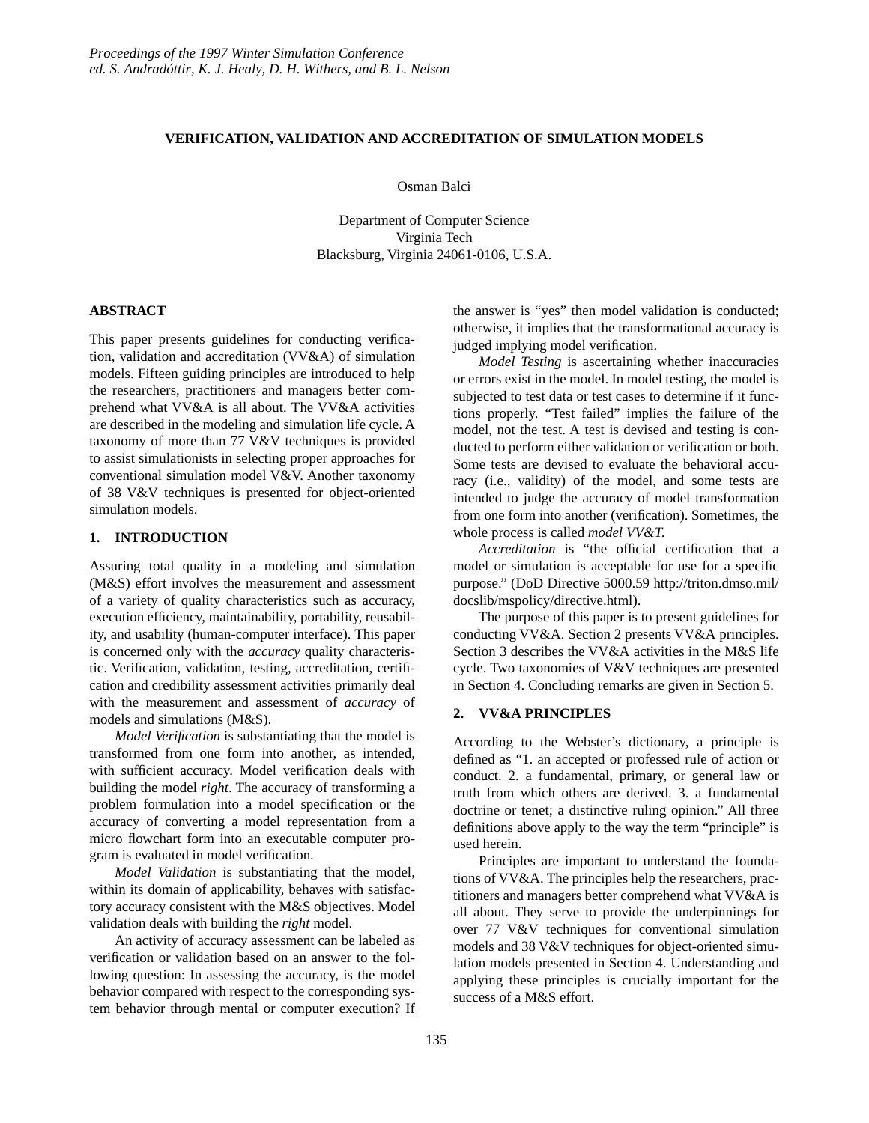## **VERIFICATION, VALIDATION AND ACCREDITATION OF SIMULATION MODELS**

Osman Balci

Department of Computer Science Virginia Tech Blacksburg, Virginia 24061-0106, U.S.A.

## **ABSTRACT**

This paper presents guidelines for conducting verification, validation and accreditation (VV&A) of simulation models. Fifteen guiding principles are introduced to help the researchers, practitioners and managers better comprehend what VV&A is all about. The VV&A activities are described in the modeling and simulation life cycle. A taxonomy of more than 77 V&V techniques is provided to assist simulationists in selecting proper approaches for conventional simulation model V&V. Another taxonomy of 38 V&V techniques is presented for object-oriented simulation models.

## **1. INTRODUCTION**

Assuring total quality in a modeling and simulation (M&S) effort involves the measurement and assessment of a variety of quality characteristics such as accuracy, execution efficiency, maintainability, portability, reusability, and usability (human-computer interface). This paper is concerned only with the *accuracy* quality characteristic. Verification, validation, testing, accreditation, certification and credibility assessment activities primarily deal with the measurement and assessment of *accuracy* of models and simulations (M&S).

*Model Verification* is substantiating that the model is transformed from one form into another, as intended, with sufficient accuracy. Model verification deals with building the model *right*. The accuracy of transforming a problem formulation into a model specification or the accuracy of converting a model representation from a micro flowchart form into an executable computer program is evaluated in model verification.

*Model Validation* is substantiating that the model, within its domain of applicability, behaves with satisfactory accuracy consistent with the M&S objectives. Model validation deals with building the *right* model.

An activity of accuracy assessment can be labeled as verification or validation based on an answer to the following question: In assessing the accuracy, is the model behavior compared with respect to the corresponding system behavior through mental or computer execution? If

the answer is "yes" then model validation is conducted; otherwise, it implies that the transformational accuracy is judged implying model verification.

*Model Testing* is ascertaining whether inaccuracies or errors exist in the model. In model testing, the model is subjected to test data or test cases to determine if it functions properly. "Test failed" implies the failure of the model, not the test. A test is devised and testing is conducted to perform either validation or verification or both. Some tests are devised to evaluate the behavioral accuracy (i.e., validity) of the model, and some tests are intended to judge the accuracy of model transformation from one form into another (verification). Sometimes, the whole process is called *model VV&T*.

*Accreditation* is "the official certification that a model or simulation is acceptable for use for a specific purpose." (DoD Directive 5000.59 http://triton.dmso.mil/ docslib/mspolicy/directive.html).

The purpose of this paper is to present guidelines for conducting VV&A. Section 2 presents VV&A principles. Section 3 describes the VV&A activities in the M&S life cycle. Two taxonomies of V&V techniques are presented in Section 4. Concluding remarks are given in Section 5.

## **2. VV&A PRINCIPLES**

According to the Webster's dictionary, a principle is defined as "1. an accepted or professed rule of action or conduct. 2. a fundamental, primary, or general law or truth from which others are derived. 3. a fundamental doctrine or tenet; a distinctive ruling opinion." All three definitions above apply to the way the term "principle" is used herein.

Principles are important to understand the foundations of VV&A. The principles help the researchers, practitioners and managers better comprehend what VV&A is all about. They serve to provide the underpinnings for over 77 V&V techniques for conventional simulation models and 38 V&V techniques for object-oriented simulation models presented in [Section 4.](#page-3-0) Understanding and applying these principles is crucially important for the success of a M&S effort.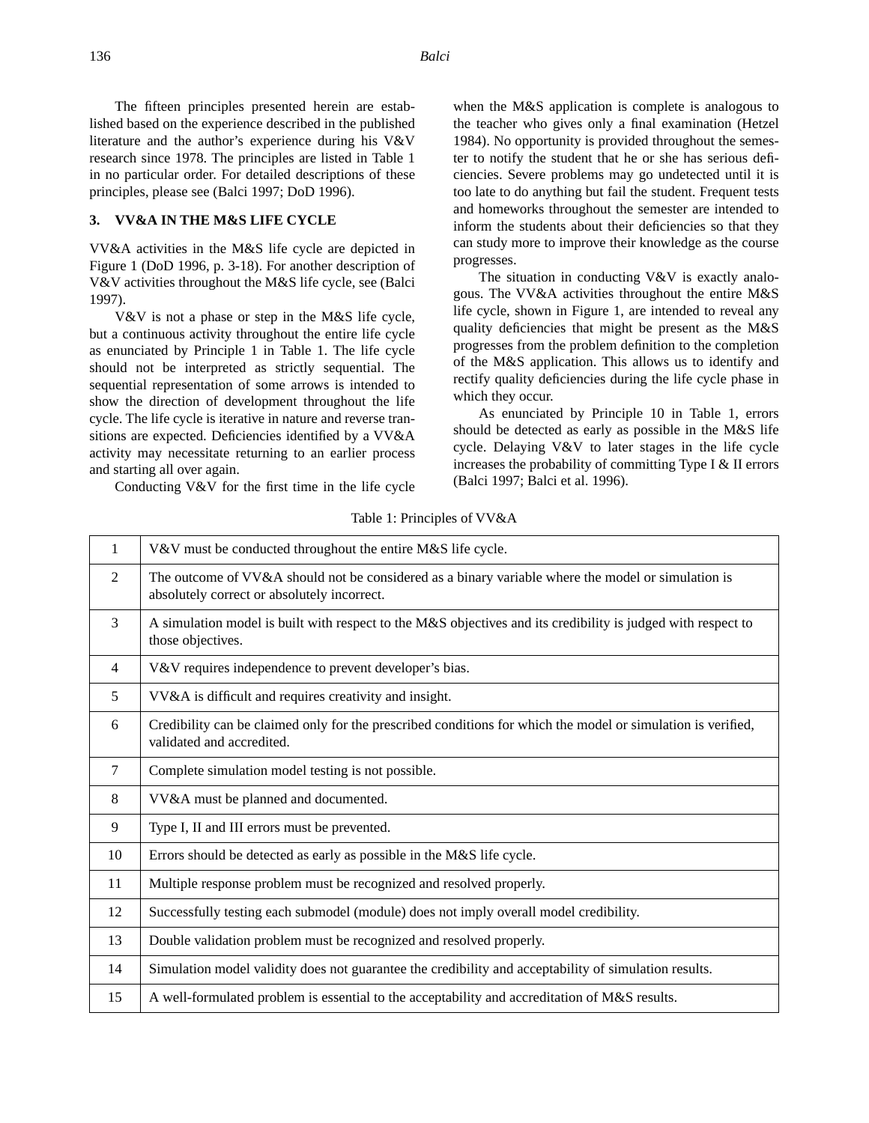The fifteen principles presented herein are established based on the experience described in the published literature and the author's experience during his V&V research since 1978. The principles are listed in Table 1 in no particular order. For detailed descriptions of these principles, please see (Balci 1997; DoD 1996).

#### **3. VV&A IN THE M&S LIFE CYCLE**

VV&A activities in the M&S life cycle are depicted in [Figure 1](#page-2-0) (DoD 1996, p. 3-18). For another description of V&V activities throughout the M&S life cycle, see (Balci 1997).

V&V is not a phase or step in the M&S life cycle, but a continuous activity throughout the entire life cycle as enunciated by Principle 1 in Table 1. The life cycle should not be interpreted as strictly sequential. The sequential representation of some arrows is intended to show the direction of development throughout the life cycle. The life cycle is iterative in nature and reverse transitions are expected. Deficiencies identified by a VV&A activity may necessitate returning to an earlier process and starting all over again.

Conducting V&V for the first time in the life cycle

when the M&S application is complete is analogous to the teacher who gives only a final examination (Hetzel 1984). No opportunity is provided throughout the semester to notify the student that he or she has serious deficiencies. Severe problems may go undetected until it is too late to do anything but fail the student. Frequent tests and homeworks throughout the semester are intended to inform the students about their deficiencies so that they can study more to improve their knowledge as the course progresses.

The situation in conducting V&V is exactly analogous. The VV&A activities throughout the entire M&S life cycle, shown in [Figure 1](#page-2-0), are intended to reveal any quality deficiencies that might be present as the M&S progresses from the problem definition to the completion of the M&S application. This allows us to identify and rectify quality deficiencies during the life cycle phase in which they occur.

As enunciated by Principle 10 in Table 1, errors should be detected as early as possible in the M&S life cycle. Delaying V&V to later stages in the life cycle increases the probability of committing Type I & II errors (Balci 1997; Balci et al. 1996).

|  |  | Table 1: Principles of VV&A |
|--|--|-----------------------------|
|--|--|-----------------------------|

| 1              | V&V must be conducted throughout the entire M&S life cycle.                                                                                       |  |  |
|----------------|---------------------------------------------------------------------------------------------------------------------------------------------------|--|--|
| 2              | The outcome of VV&A should not be considered as a binary variable where the model or simulation is<br>absolutely correct or absolutely incorrect. |  |  |
| 3              | A simulation model is built with respect to the M&S objectives and its credibility is judged with respect to<br>those objectives.                 |  |  |
| $\overline{4}$ | V&V requires independence to prevent developer's bias.                                                                                            |  |  |
| 5              | VV&A is difficult and requires creativity and insight.                                                                                            |  |  |
| 6              | Credibility can be claimed only for the prescribed conditions for which the model or simulation is verified,<br>validated and accredited.         |  |  |
| $\tau$         | Complete simulation model testing is not possible.                                                                                                |  |  |
| 8              | VV&A must be planned and documented.                                                                                                              |  |  |
| 9              | Type I, II and III errors must be prevented.                                                                                                      |  |  |
| 10             | Errors should be detected as early as possible in the M&S life cycle.                                                                             |  |  |
| 11             | Multiple response problem must be recognized and resolved properly.                                                                               |  |  |
| 12             | Successfully testing each submodel (module) does not imply overall model credibility.                                                             |  |  |
| 13             | Double validation problem must be recognized and resolved properly.                                                                               |  |  |
| 14             | Simulation model validity does not guarantee the credibility and acceptability of simulation results.                                             |  |  |
| 15             | A well-formulated problem is essential to the acceptability and accreditation of M&S results.                                                     |  |  |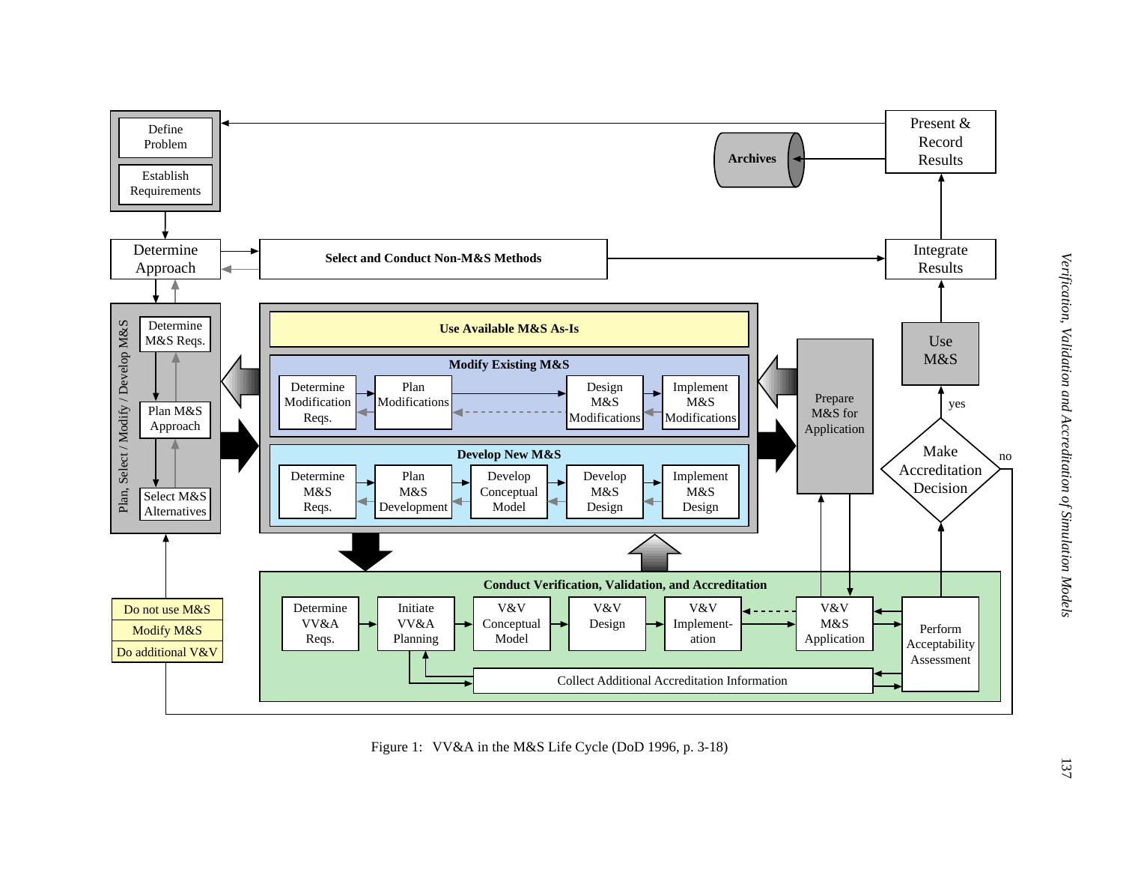<span id="page-2-0"></span>

Figure 1: VV&A in the M&S Life Cycle (DoD 1996, p. 3-18)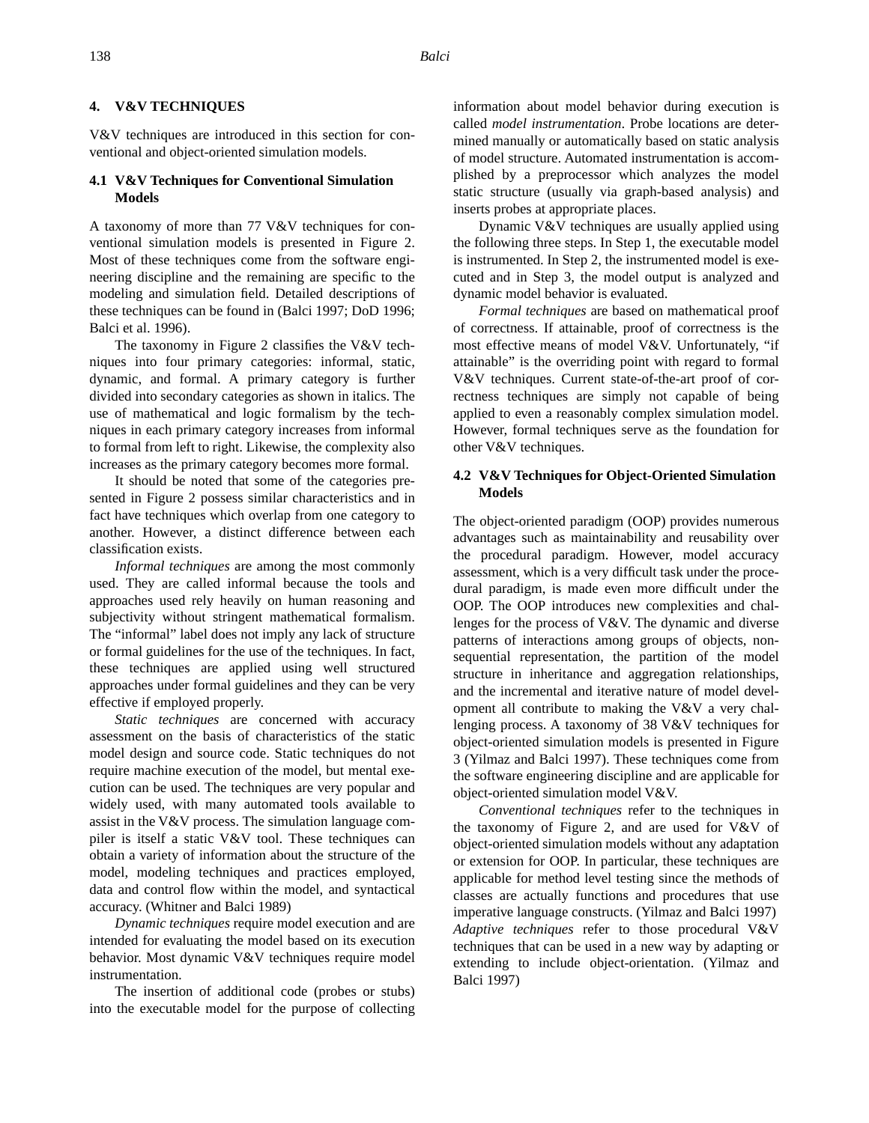## <span id="page-3-0"></span>**4. V&V TECHNIQUES**

V&V techniques are introduced in this section for conventional and object-oriented simulation models.

## **4.1 V&V Techniques for Conventional Simulation Models**

A taxonomy of more than 77 V&V techniques for conventional simulation models is presented in [Figure 2](#page-4-0). Most of these techniques come from the software engineering discipline and the remaining are specific to the modeling and simulation field. Detailed descriptions of these techniques can be found in (Balci 1997; DoD 1996; Balci et al. 1996).

The taxonomy in [Figure 2](#page-4-0) classifies the V&V techniques into four primary categories: informal, static, dynamic, and formal. A primary category is further divided into secondary categories as shown in italics. The use of mathematical and logic formalism by the techniques in each primary category increases from informal to formal from left to right. Likewise, the complexity also increases as the primary category becomes more formal.

It should be noted that some of the categories presented in [Figure 2](#page-4-0) possess similar characteristics and in fact have techniques which overlap from one category to another. However, a distinct difference between each classification exists.

*Informal techniques* are among the most commonly used. They are called informal because the tools and approaches used rely heavily on human reasoning and subjectivity without stringent mathematical formalism. The "informal" label does not imply any lack of structure or formal guidelines for the use of the techniques. In fact, these techniques are applied using well structured approaches under formal guidelines and they can be very effective if employed properly.

*Static techniques* are concerned with accuracy assessment on the basis of characteristics of the static model design and source code. Static techniques do not require machine execution of the model, but mental execution can be used. The techniques are very popular and widely used, with many automated tools available to assist in the V&V process. The simulation language compiler is itself a static V&V tool. These techniques can obtain a variety of information about the structure of the model, modeling techniques and practices employed, data and control flow within the model, and syntactical accuracy. (Whitner and Balci 1989)

*Dynamic techniques* require model execution and are intended for evaluating the model based on its execution behavior. Most dynamic V&V techniques require model instrumentation.

The insertion of additional code (probes or stubs) into the executable model for the purpose of collecting information about model behavior during execution is called *model instrumentation*. Probe locations are determined manually or automatically based on static analysis of model structure. Automated instrumentation is accomplished by a preprocessor which analyzes the model static structure (usually via graph-based analysis) and inserts probes at appropriate places.

Dynamic V&V techniques are usually applied using the following three steps. In Step 1, the executable model is instrumented. In Step 2, the instrumented model is executed and in Step 3, the model output is analyzed and dynamic model behavior is evaluated.

*Formal techniques* are based on mathematical proof of correctness. If attainable, proof of correctness is the most effective means of model V&V. Unfortunately, "if attainable" is the overriding point with regard to formal V&V techniques. Current state-of-the-art proof of correctness techniques are simply not capable of being applied to even a reasonably complex simulation model. However, formal techniques serve as the foundation for other V&V techniques.

## **4.2 V&V Techniques for Object-Oriented Simulation Models**

The object-oriented paradigm (OOP) provides numerous advantages such as maintainability and reusability over the procedural paradigm. However, model accuracy assessment, which is a very difficult task under the procedural paradigm, is made even more difficult under the OOP. The OOP introduces new complexities and challenges for the process of V&V. The dynamic and diverse patterns of interactions among groups of objects, nonsequential representation, the partition of the model structure in inheritance and aggregation relationships, and the incremental and iterative nature of model development all contribute to making the V&V a very challenging process. A taxonomy of 38 V&V techniques for object-oriented simulation models is presented in [Figure](#page-5-0) [3](#page-5-0) (Yilmaz and Balci 1997). These techniques come from the software engineering discipline and are applicable for object-oriented simulation model V&V.

*Conventional techniques* refer to the techniques in the taxonomy of [Figure 2,](#page-4-0) and are used for V&V of object-oriented simulation models without any adaptation or extension for OOP. In particular, these techniques are applicable for method level testing since the methods of classes are actually functions and procedures that use imperative language constructs. (Yilmaz and Balci 1997) *Adaptive techniques* refer to those procedural V&V techniques that can be used in a new way by adapting or extending to include object-orientation. (Yilmaz and Balci 1997)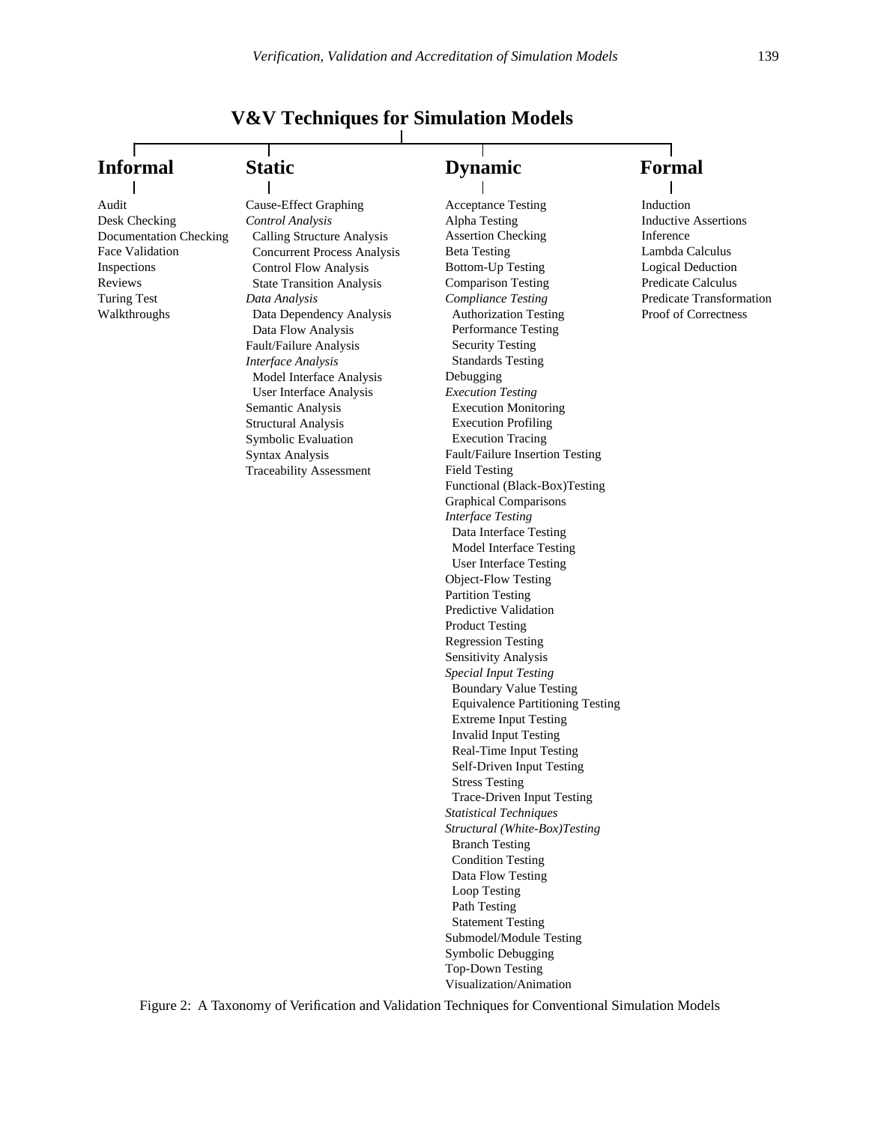<span id="page-4-0"></span>

| <b>Informal</b>                                                                                                                            | <b>Static</b>                                                                                                                                                                                                                                                                                                                                                                                                                                                                                            | <b>Dynamic</b>                                                                                                                                                                                                                                                                                                                                                                                                                                                                                                                                                                                                                                                                                                                                                                                                                                                                                                                                                                                                                                                                                                                                                                                                                                                                                                                                                                                                                                                                      | <b>Formal</b>                                                                                                                                                                                |
|--------------------------------------------------------------------------------------------------------------------------------------------|----------------------------------------------------------------------------------------------------------------------------------------------------------------------------------------------------------------------------------------------------------------------------------------------------------------------------------------------------------------------------------------------------------------------------------------------------------------------------------------------------------|-------------------------------------------------------------------------------------------------------------------------------------------------------------------------------------------------------------------------------------------------------------------------------------------------------------------------------------------------------------------------------------------------------------------------------------------------------------------------------------------------------------------------------------------------------------------------------------------------------------------------------------------------------------------------------------------------------------------------------------------------------------------------------------------------------------------------------------------------------------------------------------------------------------------------------------------------------------------------------------------------------------------------------------------------------------------------------------------------------------------------------------------------------------------------------------------------------------------------------------------------------------------------------------------------------------------------------------------------------------------------------------------------------------------------------------------------------------------------------------|----------------------------------------------------------------------------------------------------------------------------------------------------------------------------------------------|
| Audit<br>Desk Checking<br><b>Documentation Checking</b><br>Face Validation<br>Inspections<br>Reviews<br><b>Turing Test</b><br>Walkthroughs | Cause-Effect Graphing<br>Control Analysis<br><b>Calling Structure Analysis</b><br><b>Concurrent Process Analysis</b><br><b>Control Flow Analysis</b><br><b>State Transition Analysis</b><br>Data Analysis<br>Data Dependency Analysis<br>Data Flow Analysis<br>Fault/Failure Analysis<br><b>Interface Analysis</b><br>Model Interface Analysis<br>User Interface Analysis<br>Semantic Analysis<br><b>Structural Analysis</b><br>Symbolic Evaluation<br>Syntax Analysis<br><b>Traceability Assessment</b> | <b>Acceptance Testing</b><br>Alpha Testing<br><b>Assertion Checking</b><br><b>Beta Testing</b><br><b>Bottom-Up Testing</b><br><b>Comparison Testing</b><br><b>Compliance Testing</b><br><b>Authorization Testing</b><br><b>Performance Testing</b><br><b>Security Testing</b><br><b>Standards Testing</b><br>Debugging<br><b>Execution Testing</b><br><b>Execution Monitoring</b><br><b>Execution Profiling</b><br><b>Execution Tracing</b><br>Fault/Failure Insertion Testing<br><b>Field Testing</b><br>Functional (Black-Box)Testing<br><b>Graphical Comparisons</b><br><b>Interface Testing</b><br>Data Interface Testing<br>Model Interface Testing<br><b>User Interface Testing</b><br><b>Object-Flow Testing</b><br><b>Partition Testing</b><br><b>Predictive Validation</b><br><b>Product Testing</b><br><b>Regression Testing</b><br>Sensitivity Analysis<br><b>Special Input Testing</b><br><b>Boundary Value Testing</b><br><b>Equivalence Partitioning Testing</b><br><b>Extreme Input Testing</b><br><b>Invalid Input Testing</b><br>Real-Time Input Testing<br>Self-Driven Input Testing<br><b>Stress Testing</b><br><b>Trace-Driven Input Testing</b><br><b>Statistical Techniques</b><br>Structural (White-Box)Testing<br><b>Branch Testing</b><br><b>Condition Testing</b><br>Data Flow Testing<br>Loop Testing<br>Path Testing<br><b>Statement Testing</b><br>Submodel/Module Testing<br>Symbolic Debugging<br><b>Top-Down Testing</b><br>Visualization/Animation | Induction<br><b>Inductive Assertions</b><br>Inference<br>Lambda Calculus<br><b>Logical Deduction</b><br><b>Predicate Calculus</b><br>Predicate Transformation<br><b>Proof of Correctness</b> |

# **V&V Techniques for Simulation Models**

Figure 2: A Taxonomy of Verification and Validation Techniques for Conventional Simulation Models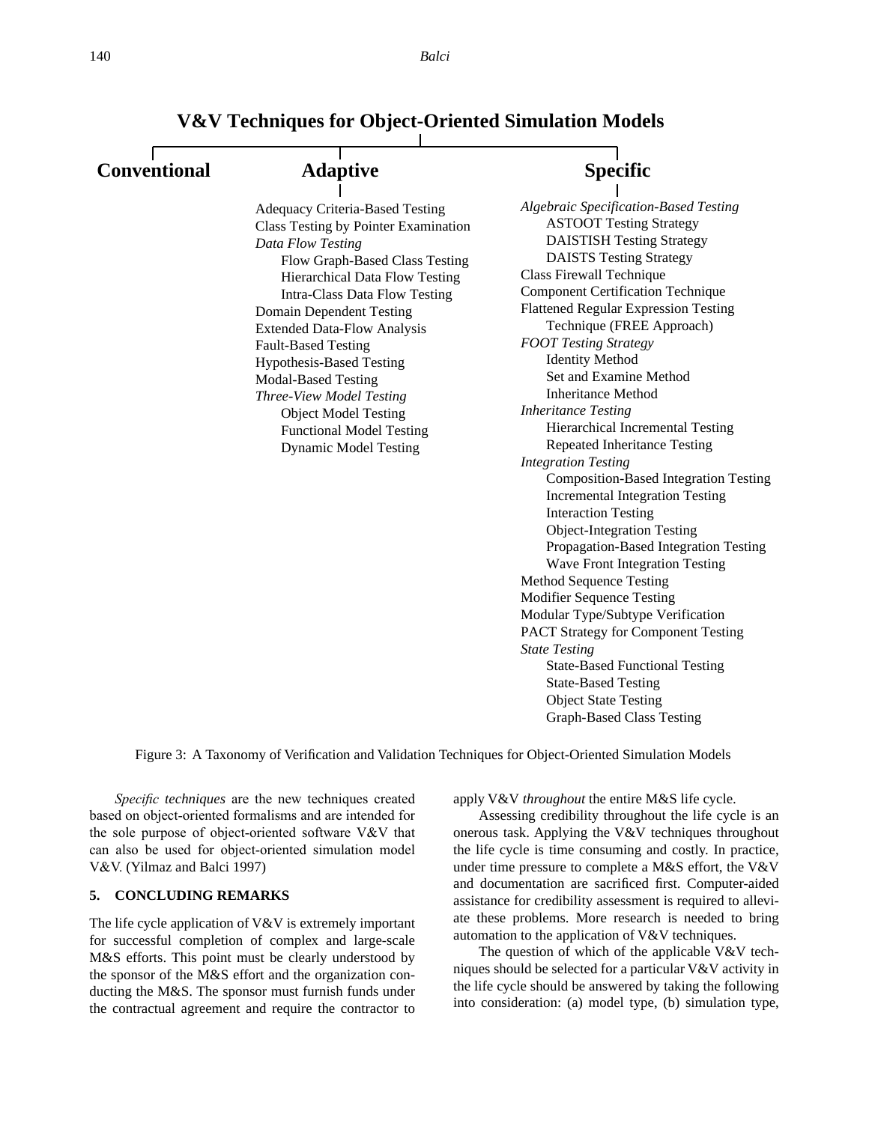<span id="page-5-0"></span>

| <b>Conventional</b> | <b>Adaptive</b>                                                                                                                                                                                                                                                                                                                                                                                                                                                                                                       | <b>Specific</b>                                                                                                                                                                                                                                                                                                                                                                                                                                                                                                                                                                                                                                                                                                                                                                                                                                                                                                                                                                                                                                                                                                       |
|---------------------|-----------------------------------------------------------------------------------------------------------------------------------------------------------------------------------------------------------------------------------------------------------------------------------------------------------------------------------------------------------------------------------------------------------------------------------------------------------------------------------------------------------------------|-----------------------------------------------------------------------------------------------------------------------------------------------------------------------------------------------------------------------------------------------------------------------------------------------------------------------------------------------------------------------------------------------------------------------------------------------------------------------------------------------------------------------------------------------------------------------------------------------------------------------------------------------------------------------------------------------------------------------------------------------------------------------------------------------------------------------------------------------------------------------------------------------------------------------------------------------------------------------------------------------------------------------------------------------------------------------------------------------------------------------|
|                     | <b>Adequacy Criteria-Based Testing</b><br>Class Testing by Pointer Examination<br>Data Flow Testing<br>Flow Graph-Based Class Testing<br>Hierarchical Data Flow Testing<br><b>Intra-Class Data Flow Testing</b><br><b>Domain Dependent Testing</b><br><b>Extended Data-Flow Analysis</b><br><b>Fault-Based Testing</b><br><b>Hypothesis-Based Testing</b><br><b>Modal-Based Testing</b><br>Three-View Model Testing<br><b>Object Model Testing</b><br><b>Functional Model Testing</b><br><b>Dynamic Model Testing</b> | Algebraic Specification-Based Testing<br><b>ASTOOT Testing Strategy</b><br><b>DAISTISH Testing Strategy</b><br><b>DAISTS Testing Strategy</b><br>Class Firewall Technique<br><b>Component Certification Technique</b><br><b>Flattened Regular Expression Testing</b><br>Technique (FREE Approach)<br><b>FOOT Testing Strategy</b><br><b>Identity Method</b><br>Set and Examine Method<br><b>Inheritance Method</b><br><b>Inheritance Testing</b><br>Hierarchical Incremental Testing<br><b>Repeated Inheritance Testing</b><br><b>Integration Testing</b><br><b>Composition-Based Integration Testing</b><br><b>Incremental Integration Testing</b><br><b>Interaction Testing</b><br><b>Object-Integration Testing</b><br>Propagation-Based Integration Testing<br><b>Wave Front Integration Testing</b><br>Method Sequence Testing<br>Modifier Sequence Testing<br>Modular Type/Subtype Verification<br><b>PACT Strategy for Component Testing</b><br><b>State Testing</b><br><b>State-Based Functional Testing</b><br><b>State-Based Testing</b><br><b>Object State Testing</b><br><b>Graph-Based Class Testing</b> |

**V&V Techniques for Object-Oriented Simulation Models**

Figure 3: A Taxonomy of Verification and Validation Techniques for Object-Oriented Simulation Models

*Specific techniques* are the new techniques created based on object-oriented formalisms and are intended for the sole purpose of object-oriented software V&V that can also be used for object-oriented simulation model V&V. (Yilmaz and Balci 1997)

## **5. CONCLUDING REMARKS**

The life cycle application of V&V is extremely important for successful completion of complex and large-scale M&S efforts. This point must be clearly understood by the sponsor of the M&S effort and the organization conducting the M&S. The sponsor must furnish funds under the contractual agreement and require the contractor to

apply V&V *throughout* the entire M&S life cycle.

Assessing credibility throughout the life cycle is an onerous task. Applying the V&V techniques throughout the life cycle is time consuming and costly. In practice, under time pressure to complete a M&S effort, the V&V and documentation are sacrificed first. Computer-aided assistance for credibility assessment is required to alleviate these problems. More research is needed to bring automation to the application of V&V techniques.

The question of which of the applicable V&V techniques should be selected for a particular V&V activity in the life cycle should be answered by taking the following into consideration: (a) model type, (b) simulation type,